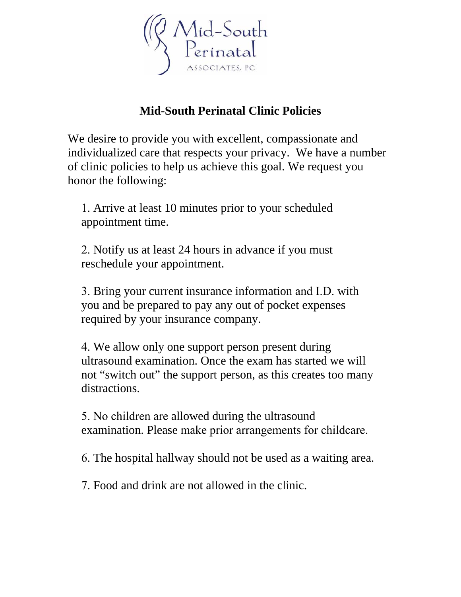

## **Mid-South Perinatal Clinic Policies**

We desire to provide you with excellent, compassionate and individualized care that respects your privacy. We have a number of clinic policies to help us achieve this goal. We request you honor the following:

1. Arrive at least 10 minutes prior to your scheduled appointment time.

2. Notify us at least 24 hours in advance if you must reschedule your appointment.

3. Bring your current insurance information and I.D. with you and be prepared to pay any out of pocket expenses required by your insurance company.

4. We allow only one support person present during ultrasound examination. Once the exam has started we will not "switch out" the support person, as this creates too many distractions.

5. No children are allowed during the ultrasound examination. Please make prior arrangements for childcare.

6. The hospital hallway should not be used as a waiting area.

7. Food and drink are not allowed in the clinic.